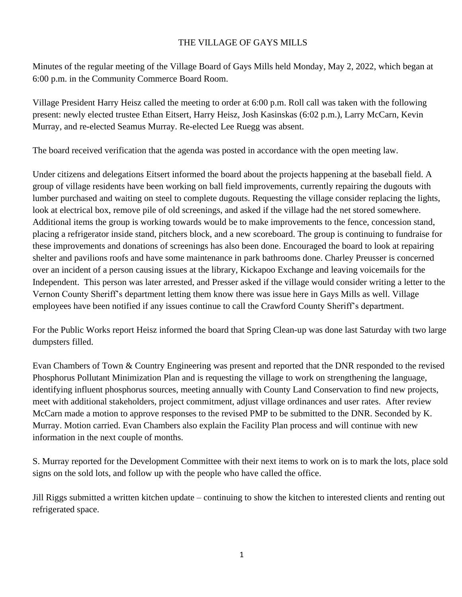## THE VILLAGE OF GAYS MILLS

Minutes of the regular meeting of the Village Board of Gays Mills held Monday, May 2, 2022, which began at 6:00 p.m. in the Community Commerce Board Room.

Village President Harry Heisz called the meeting to order at 6:00 p.m. Roll call was taken with the following present: newly elected trustee Ethan Eitsert, Harry Heisz, Josh Kasinskas (6:02 p.m.), Larry McCarn, Kevin Murray, and re-elected Seamus Murray. Re-elected Lee Ruegg was absent.

The board received verification that the agenda was posted in accordance with the open meeting law.

Under citizens and delegations Eitsert informed the board about the projects happening at the baseball field. A group of village residents have been working on ball field improvements, currently repairing the dugouts with lumber purchased and waiting on steel to complete dugouts. Requesting the village consider replacing the lights, look at electrical box, remove pile of old screenings, and asked if the village had the net stored somewhere. Additional items the group is working towards would be to make improvements to the fence, concession stand, placing a refrigerator inside stand, pitchers block, and a new scoreboard. The group is continuing to fundraise for these improvements and donations of screenings has also been done. Encouraged the board to look at repairing shelter and pavilions roofs and have some maintenance in park bathrooms done. Charley Preusser is concerned over an incident of a person causing issues at the library, Kickapoo Exchange and leaving voicemails for the Independent. This person was later arrested, and Presser asked if the village would consider writing a letter to the Vernon County Sheriff's department letting them know there was issue here in Gays Mills as well. Village employees have been notified if any issues continue to call the Crawford County Sheriff's department.

For the Public Works report Heisz informed the board that Spring Clean-up was done last Saturday with two large dumpsters filled.

Evan Chambers of Town & Country Engineering was present and reported that the DNR responded to the revised Phosphorus Pollutant Minimization Plan and is requesting the village to work on strengthening the language, identifying influent phosphorus sources, meeting annually with County Land Conservation to find new projects, meet with additional stakeholders, project commitment, adjust village ordinances and user rates. After review McCarn made a motion to approve responses to the revised PMP to be submitted to the DNR. Seconded by K. Murray. Motion carried. Evan Chambers also explain the Facility Plan process and will continue with new information in the next couple of months.

S. Murray reported for the Development Committee with their next items to work on is to mark the lots, place sold signs on the sold lots, and follow up with the people who have called the office.

Jill Riggs submitted a written kitchen update – continuing to show the kitchen to interested clients and renting out refrigerated space.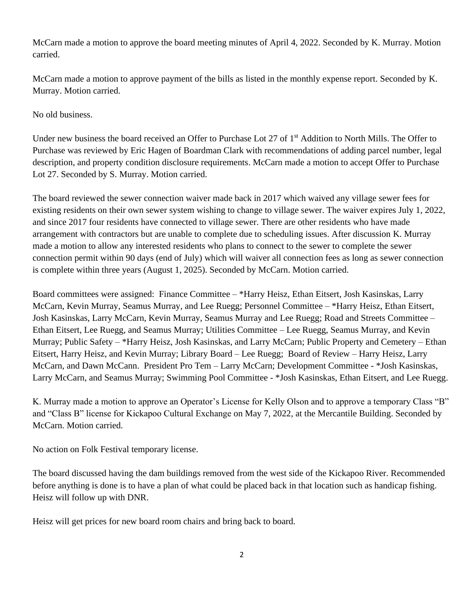McCarn made a motion to approve the board meeting minutes of April 4, 2022. Seconded by K. Murray. Motion carried.

McCarn made a motion to approve payment of the bills as listed in the monthly expense report. Seconded by K. Murray. Motion carried.

No old business.

Under new business the board received an Offer to Purchase Lot 27 of 1st Addition to North Mills. The Offer to Purchase was reviewed by Eric Hagen of Boardman Clark with recommendations of adding parcel number, legal description, and property condition disclosure requirements. McCarn made a motion to accept Offer to Purchase Lot 27. Seconded by S. Murray. Motion carried.

The board reviewed the sewer connection waiver made back in 2017 which waived any village sewer fees for existing residents on their own sewer system wishing to change to village sewer. The waiver expires July 1, 2022, and since 2017 four residents have connected to village sewer. There are other residents who have made arrangement with contractors but are unable to complete due to scheduling issues. After discussion K. Murray made a motion to allow any interested residents who plans to connect to the sewer to complete the sewer connection permit within 90 days (end of July) which will waiver all connection fees as long as sewer connection is complete within three years (August 1, 2025). Seconded by McCarn. Motion carried.

Board committees were assigned: Finance Committee – \*Harry Heisz, Ethan Eitsert, Josh Kasinskas, Larry McCarn, Kevin Murray, Seamus Murray, and Lee Ruegg; Personnel Committee – \*Harry Heisz, Ethan Eitsert, Josh Kasinskas, Larry McCarn, Kevin Murray, Seamus Murray and Lee Ruegg; Road and Streets Committee – Ethan Eitsert, Lee Ruegg, and Seamus Murray; Utilities Committee – Lee Ruegg, Seamus Murray, and Kevin Murray; Public Safety – \*Harry Heisz, Josh Kasinskas, and Larry McCarn; Public Property and Cemetery – Ethan Eitsert, Harry Heisz, and Kevin Murray; Library Board – Lee Ruegg; Board of Review – Harry Heisz, Larry McCarn, and Dawn McCann. President Pro Tem – Larry McCarn; Development Committee - \*Josh Kasinskas, Larry McCarn, and Seamus Murray; Swimming Pool Committee - \*Josh Kasinskas, Ethan Eitsert, and Lee Ruegg.

K. Murray made a motion to approve an Operator's License for Kelly Olson and to approve a temporary Class "B" and "Class B" license for Kickapoo Cultural Exchange on May 7, 2022, at the Mercantile Building. Seconded by McCarn. Motion carried.

No action on Folk Festival temporary license.

The board discussed having the dam buildings removed from the west side of the Kickapoo River. Recommended before anything is done is to have a plan of what could be placed back in that location such as handicap fishing. Heisz will follow up with DNR.

Heisz will get prices for new board room chairs and bring back to board.